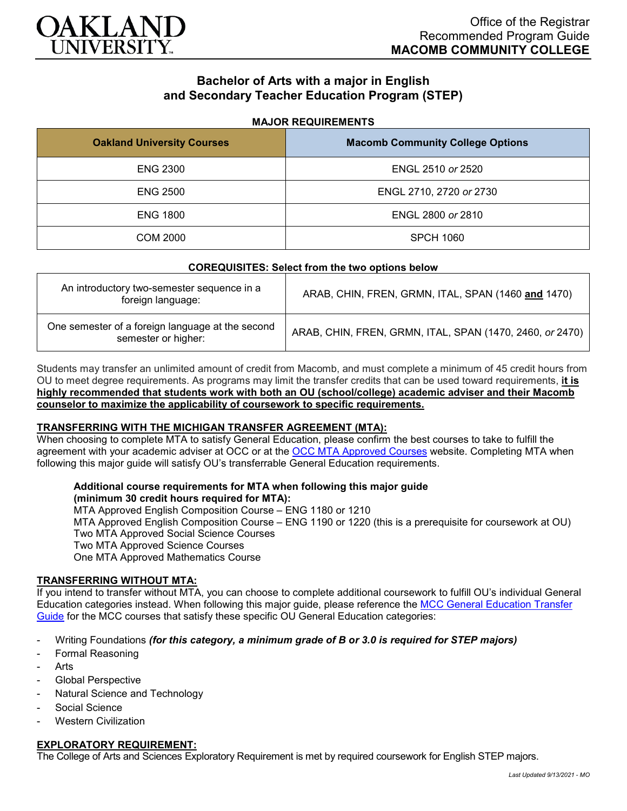

# **Bachelor of Arts with a major in English and Secondary Teacher Education Program (STEP)**

#### **MAJOR REQUIREMENTS**

| <b>Oakland University Courses</b> | <b>Macomb Community College Options</b> |
|-----------------------------------|-----------------------------------------|
| <b>ENG 2300</b>                   | ENGL 2510 or 2520                       |
| <b>ENG 2500</b>                   | ENGL 2710, 2720 or 2730                 |
| <b>ENG 1800</b>                   | ENGL 2800 or 2810                       |
| <b>COM 2000</b>                   | <b>SPCH 1060</b>                        |

#### **COREQUISITES: Select from the two options below**

| An introductory two-semester sequence in a<br>foreign language:         | ARAB, CHIN, FREN, GRMN, ITAL, SPAN (1460 and 1470)       |
|-------------------------------------------------------------------------|----------------------------------------------------------|
| One semester of a foreign language at the second<br>semester or higher: | ARAB, CHIN, FREN, GRMN, ITAL, SPAN (1470, 2460, or 2470) |

Students may transfer an unlimited amount of credit from Macomb, and must complete a minimum of 45 credit hours from OU to meet degree requirements. As programs may limit the transfer credits that can be used toward requirements, **it is highly recommended that students work with both an OU (school/college) academic adviser and their Macomb counselor to maximize the applicability of coursework to specific requirements.**

## **TRANSFERRING WITH THE MICHIGAN TRANSFER AGREEMENT (MTA):**

When choosing to complete MTA to satisfy General Education, please confirm the best courses to take to fulfill the agreement with your academic adviser at OCC or at the [OCC MTA Approved Courses](http://catalog.oaklandcc.edu/graduation-requirements/michigan-transfer-agreement/) website. Completing MTA when following this major guide will satisfy OU's transferrable General Education requirements.

### **Additional course requirements for MTA when following this major guide**

**(minimum 30 credit hours required for MTA):** MTA Approved English Composition Course – ENG 1180 or 1210 MTA Approved English Composition Course – ENG 1190 or 1220 (this is a prerequisite for coursework at OU) Two MTA Approved Social Science Courses Two MTA Approved Science Courses One MTA Approved Mathematics Course

### **TRANSFERRING WITHOUT MTA:**

If you intend to transfer without MTA, you can choose to complete additional coursework to fulfill OU's individual General Education categories instead. When following this major guide, please reference the [MCC General Education Transfer](https://wwwp.oakland.edu/Assets/Oakland/program-guides/macomb-community-college/university-general-education-requirements/MCC%20Gen%20Ed.pdf)  [Guide](https://wwwp.oakland.edu/Assets/Oakland/program-guides/macomb-community-college/university-general-education-requirements/MCC%20Gen%20Ed.pdf) for the MCC courses that satisfy these specific OU General Education categories:

- Writing Foundations *(for this category, a minimum grade of B or 3.0 is required for STEP majors)*
- Formal Reasoning
- **Arts**
- Global Perspective
- Natural Science and Technology
- Social Science
- **Western Civilization**

### **EXPLORATORY REQUIREMENT:**

The College of Arts and Sciences Exploratory Requirement is met by required coursework for English STEP majors.